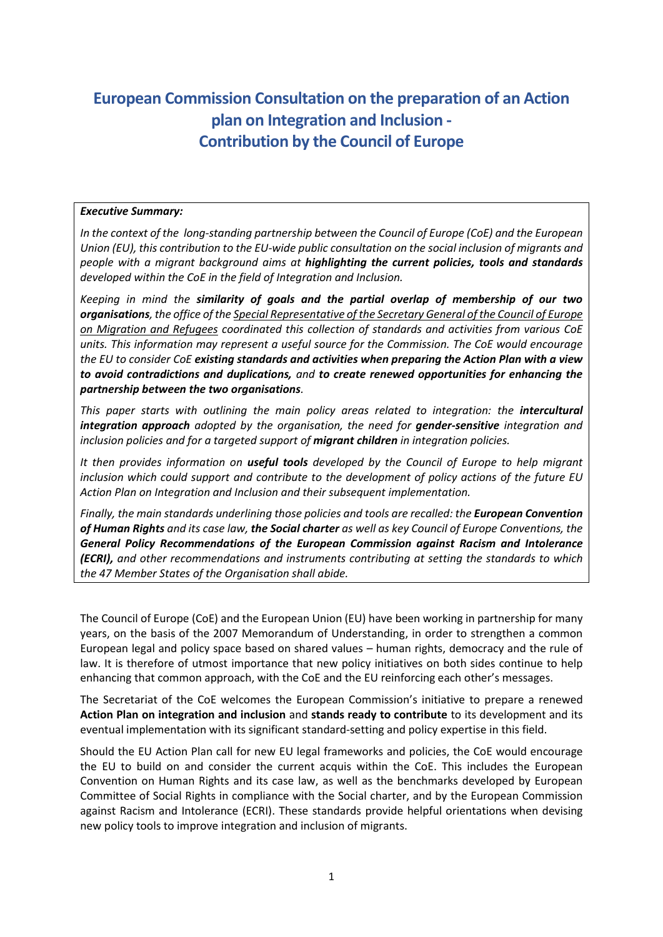# **European Commission Consultation on the preparation of an Action plan on Integration and Inclusion - Contribution by the Council of Europe**

#### *Executive Summary:*

*In the context of the long-standing partnership between the Council of Europe (CoE) and the European Union (EU), this contribution to the EU-wide public consultation on the social inclusion of migrants and people with a migrant background aims at highlighting the current policies, tools and standards developed within the CoE in the field of Integration and Inclusion.* 

*Keeping in mind the similarity of goals and the partial overlap of membership of our two organisations, the office of th[e Special Representative of the Secretary General of the Council of Europe](https://www.coe.int/en/web/special-representative-secretary-general-migration-refugees/home)  [on Migration and Refugees](https://www.coe.int/en/web/special-representative-secretary-general-migration-refugees/home) coordinated this collection of standards and activities from various CoE units. This information may represent a useful source for the Commission. The CoE would encourage the EU to consider CoE existing standards and activities when preparing the Action Plan with a view to avoid contradictions and duplications, and to create renewed opportunities for enhancing the partnership between the two organisations.*

*This paper starts with outlining the main policy areas related to integration: the intercultural integration approach adopted by the organisation, the need for gender-sensitive integration and inclusion policies and for a targeted support of migrant children in integration policies.* 

*It then provides information on useful tools developed by the Council of Europe to help migrant inclusion which could support and contribute to the development of policy actions of the future EU Action Plan on Integration and Inclusion and their subsequent implementation.*

*Finally, the main standards underlining those policies and tools are recalled: the European Convention of Human Rights and its case law, the Social charter as well as key Council of Europe Conventions, the General Policy Recommendations of the European Commission against Racism and Intolerance (ECRI), and other recommendations and instruments contributing at setting the standards to which the 47 Member States of the Organisation shall abide.*

The Council of Europe (CoE) and the European Union (EU) have been working in partnership for many years, on the basis of the 2007 Memorandum of Understanding, in order to strengthen a common European legal and policy space based on shared values – human rights, democracy and the rule of law. It is therefore of utmost importance that new policy initiatives on both sides continue to help enhancing that common approach, with the CoE and the EU reinforcing each other's messages.

The Secretariat of the CoE welcomes the European Commission's initiative to prepare a renewed **Action Plan on integration and inclusion** and **stands ready to contribute** to its development and its eventual implementation with its significant standard-setting and policy expertise in this field.

Should the EU Action Plan call for new EU legal frameworks and policies, the CoE would encourage the EU to build on and consider the current acquis within the CoE. This includes the European Convention on Human Rights and its case law, as well as the benchmarks developed by European Committee of Social Rights in compliance with the Social charter, and by the European Commission against Racism and Intolerance (ECRI). These standards provide helpful orientations when devising new policy tools to improve integration and inclusion of migrants.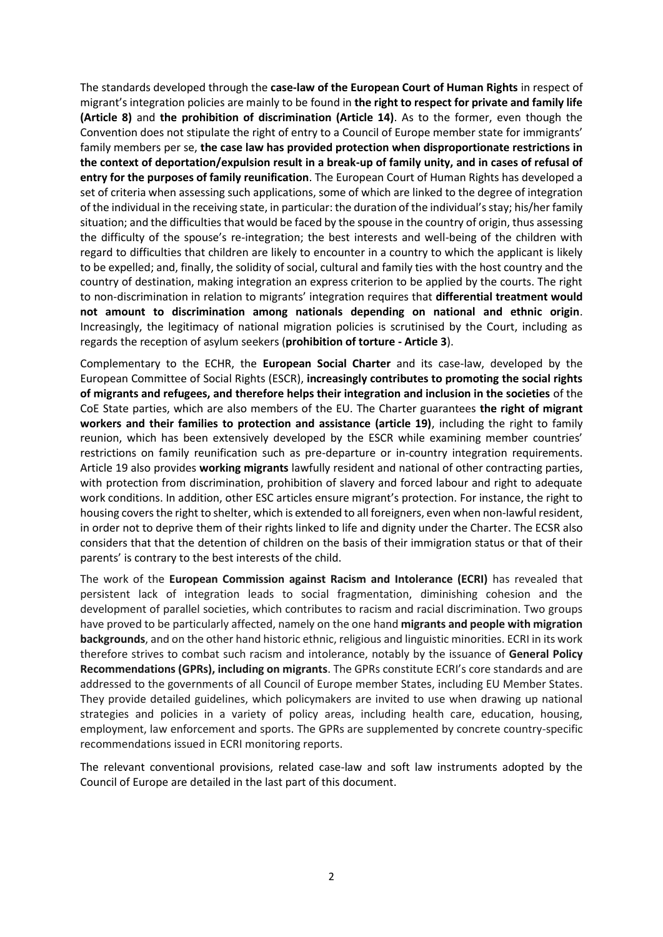The standards developed through the **case-law of the European Court of Human Rights** in respect of migrant's integration policies are mainly to be found in **the right to respect for private and family life (Article 8)** and **the prohibition of discrimination (Article 14)**. As to the former, even though the Convention does not stipulate the right of entry to a Council of Europe member state for immigrants' family members per se, **the case law has provided protection when disproportionate restrictions in the context of deportation/expulsion result in a break-up of family unity, and in cases of refusal of entry for the purposes of family reunification**. The European Court of Human Rights has developed a set of criteria when assessing such applications, some of which are linked to the degree of integration of the individual in the receiving state, in particular: the duration of the individual's stay; his/her family situation; and the difficulties that would be faced by the spouse in the country of origin, thus assessing the difficulty of the spouse's re-integration; the best interests and well-being of the children with regard to difficulties that children are likely to encounter in a country to which the applicant is likely to be expelled; and, finally, the solidity of social, cultural and family ties with the host country and the country of destination, making integration an express criterion to be applied by the courts. The right to non-discrimination in relation to migrants' integration requires that **differential treatment would not amount to discrimination among nationals depending on national and ethnic origin**. Increasingly, the legitimacy of national migration policies is scrutinised by the Court, including as regards the reception of asylum seekers (**prohibition of torture - Article 3**).

Complementary to the ECHR, the **European Social Charter** and its case-law, developed by the European Committee of Social Rights (ESCR), **increasingly contributes to promoting the social rights of migrants and refugees, and therefore helps their integration and inclusion in the societies** of the CoE State parties, which are also members of the EU. The Charter guarantees **the right of migrant workers and their families to protection and assistance (article 19)**, including the right to family reunion, which has been extensively developed by the ESCR while examining member countries' restrictions on family reunification such as pre-departure or in-country integration requirements. Article 19 also provides **working migrants** lawfully resident and national of other contracting parties, with protection from discrimination, prohibition of slavery and forced labour and right to adequate work conditions. In addition, other ESC articles ensure migrant's protection. For instance, the right to housing covers the right to shelter, which is extended to all foreigners, even when non-lawful resident, in order not to deprive them of their rights linked to life and dignity under the Charter. The ECSR also considers that that the detention of children on the basis of their immigration status or that of their parents' is contrary to the best interests of the child.

The work of the **European Commission against Racism and Intolerance (ECRI)** has revealed that persistent lack of integration leads to social fragmentation, diminishing cohesion and the development of parallel societies, which contributes to racism and racial discrimination. Two groups have proved to be particularly affected, namely on the one hand **migrants and people with migration backgrounds**, and on the other hand historic ethnic, religious and linguistic minorities. ECRI in its work therefore strives to combat such racism and intolerance, notably by the issuance of **General Policy Recommendations (GPRs), including on migrants**. The GPRs constitute ECRI's core standards and are addressed to the governments of all Council of Europe member States, including EU Member States. They provide detailed guidelines, which policymakers are invited to use when drawing up national strategies and policies in a variety of policy areas, including health care, education, housing, employment, law enforcement and sports. The GPRs are supplemented by concrete country-specific recommendations issued in ECRI monitoring reports.

The relevant conventional provisions, related case-law and soft law instruments adopted by the Council of Europe are detailed in the last part of this document.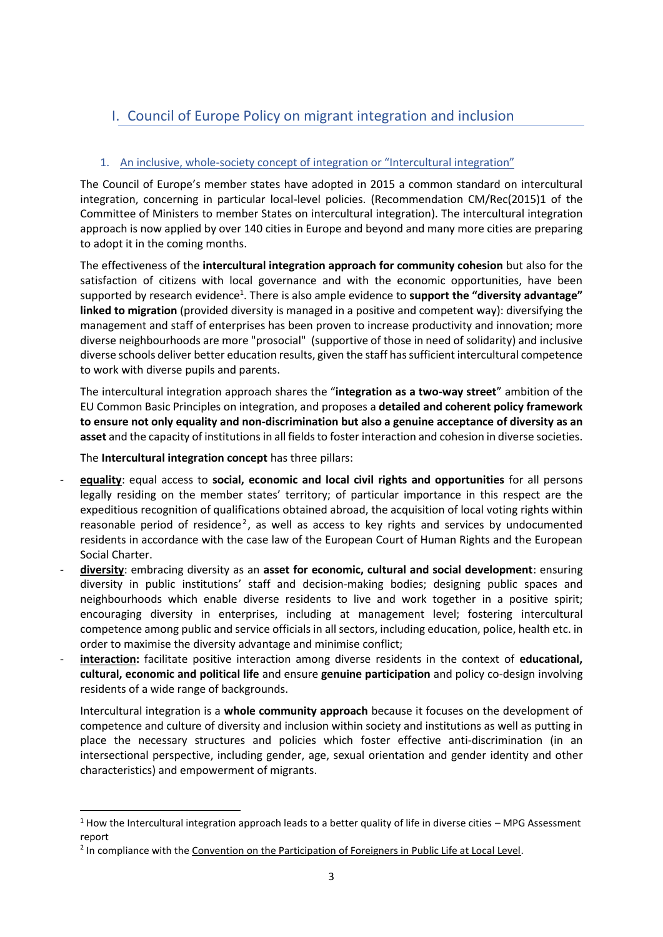## I. Council of Europe Policy on migrant integration and inclusion

## 1. An inclusive, whole-society concept of integration or "Intercultural integration"

The Council of Europe's member states have adopted in 2015 a common standard on intercultural integration, concerning in particular local-level policies. [\(Recommendation CM/Rec\(2015\)1 of the](https://wcd.coe.int/ViewDoc.jsp?id=2282331&Site=COE&BackColorInternet=C3C3C3&BackColorIntranet=EDB021&BackColorLogged=F5D383)  [Committee of Ministers to member States on intercultural integration\)](https://wcd.coe.int/ViewDoc.jsp?id=2282331&Site=COE&BackColorInternet=C3C3C3&BackColorIntranet=EDB021&BackColorLogged=F5D383). The intercultural integration approach is now applied by over 140 cities in Europe and beyond and many more cities are preparing to adopt it in the coming months.

The effectiveness of the **intercultural integration approach for community cohesion** but also for the satisfaction of citizens with local governance and with the economic opportunities, have been supported by research evidence<sup>1</sup>. There is also ample evidence to **support the "diversity advantage" linked to migration** (provided diversity is managed in a positive and competent way): diversifying the management and staff of enterprises has been proven to increase productivity and innovation; more diverse neighbourhoods are more "prosocial" (supportive of those in need of solidarity) and inclusive diverse schools deliver better education results, given the staff has sufficient intercultural competence to work with diverse pupils and parents.

The intercultural integration approach shares the "**integration as a two-way street**" ambition of the EU Common Basic Principles on integration, and proposes a **detailed and coherent policy framework to ensure not only equality and non-discrimination but also a genuine acceptance of diversity as an asset** and the capacity of institutions in all fields to foster interaction and cohesion in diverse societies.

The **Intercultural integration concept** has three pillars:

- **equality**: equal access to **social, economic and local civil rights and opportunities** for all persons legally residing on the member states' territory; of particular importance in this respect are the expeditious recognition of qualifications obtained abroad, the acquisition of local voting rights within reasonable period of residence<sup>2</sup>, as well as access to key rights and services by undocumented residents in accordance with the case law of the European Court of Human Rights and the European Social Charter.
- **diversity**: embracing diversity as an **asset for economic, cultural and social development**: ensuring diversity in public institutions' staff and decision-making bodies; designing public spaces and neighbourhoods which enable diverse residents to live and work together in a positive spirit; encouraging diversity in enterprises, including at management level; fostering intercultural competence among public and service officials in all sectors, including education, police, health etc. in order to maximise the diversity advantage and minimise conflict;
- interaction: facilitate positive interaction among diverse residents in the context of educational, **cultural, economic and political life** and ensure **genuine participation** and policy co-design involving residents of a wide range of backgrounds.

Intercultural integration is a **whole community approach** because it focuses on the development of competence and culture of diversity and inclusion within society and institutions as well as putting in place the necessary structures and policies which foster effective anti-discrimination (in an intersectional perspective, including gender, age, sexual orientation and gender identity and other characteristics) and empowerment of migrants.

<sup>&</sup>lt;sup>1</sup> [How the Intercultural integration approach leads to a better quality of life in diverse cities](http://rm.coe.int/intercultural-to-the-core-how-the-intercultural-cities-index-can-be-be/168076631b) – MPG Assessment [report](http://rm.coe.int/intercultural-to-the-core-how-the-intercultural-cities-index-can-be-be/168076631b)

<sup>&</sup>lt;sup>2</sup> In compliance with th[e Convention on the Participation of Foreigners in Public Life at Local Level.](https://www.coe.int/en/web/conventions/full-list/-/conventions/treaty/144)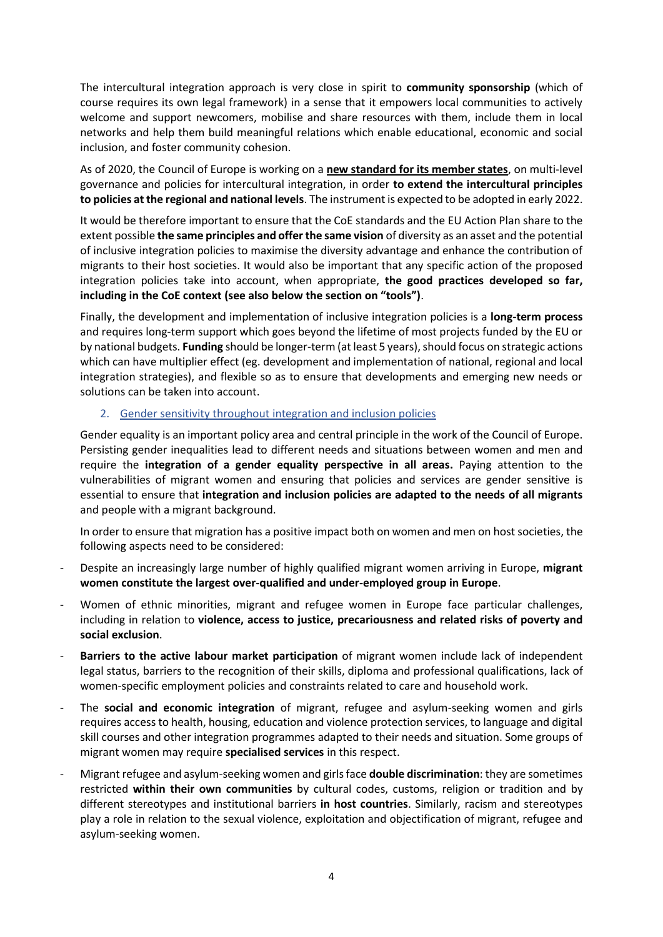The intercultural integration approach is very close in spirit to **community sponsorship** (which of course requires its own legal framework) in a sense that it empowers local communities to actively welcome and support newcomers, mobilise and share resources with them, include them in local networks and help them build meaningful relations which enable educational, economic and social inclusion, and foster community cohesion.

As of 2020, the Council of Europe is working on a **new standard for its member states**, on multi-level governance and policies for intercultural integration, in order **to extend the intercultural principles to policies at the regional and national levels**. The instrument is expected to be adopted in early 2022.

It would be therefore important to ensure that the CoE standards and the EU Action Plan share to the extent possible **the same principles and offer the same vision** of diversity as an asset and the potential of inclusive integration policies to maximise the diversity advantage and enhance the contribution of migrants to their host societies. It would also be important that any specific action of the proposed integration policies take into account, when appropriate, **the good practices developed so far, including in the CoE context (see also below the section on "tools")**.

Finally, the development and implementation of inclusive integration policies is a **long-term process** and requires long-term support which goes beyond the lifetime of most projects funded by the EU or by national budgets. **Funding** should be longer-term (at least 5 years), should focus on strategic actions which can have multiplier effect (eg. development and implementation of national, regional and local integration strategies), and flexible so as to ensure that developments and emerging new needs or solutions can be taken into account.

#### 2. Gender sensitivity throughout integration and inclusion policies

Gender equality is an important policy area and central principle in the work of the Council of Europe. Persisting gender inequalities lead to different needs and situations between women and men and require the **integration of a gender equality perspective in all areas.** Paying attention to the vulnerabilities of migrant women and ensuring that policies and services are gender sensitive is essential to ensure that **integration and inclusion policies are adapted to the needs of all migrants** and people with a migrant background.

In order to ensure that migration has a positive impact both on women and men on host societies, the following aspects need to be considered:

- Despite an increasingly large number of highly qualified migrant women arriving in Europe, **migrant women constitute the largest over-qualified and under-employed group in Europe**.
- Women of ethnic minorities, migrant and refugee women in Europe face particular challenges, including in relation to **violence, access to justice, precariousness and related risks of poverty and social exclusion**.
- **Barriers to the active labour market participation** of migrant women include lack of independent legal status, barriers to the recognition of their skills, diploma and professional qualifications, lack of women-specific employment policies and constraints related to care and household work.
- The **social and economic integration** of migrant, refugee and asylum-seeking women and girls requires access to health, housing, education and violence protection services, to language and digital skill courses and other integration programmes adapted to their needs and situation. Some groups of migrant women may require **specialised services** in this respect.
- Migrant refugee and asylum-seeking women and girlsface **double discrimination**: they are sometimes restricted **within their own communities** by cultural codes, customs, religion or tradition and by different stereotypes and institutional barriers **in host countries**. Similarly, racism and stereotypes play a role in relation to the sexual violence, exploitation and objectification of migrant, refugee and asylum-seeking women.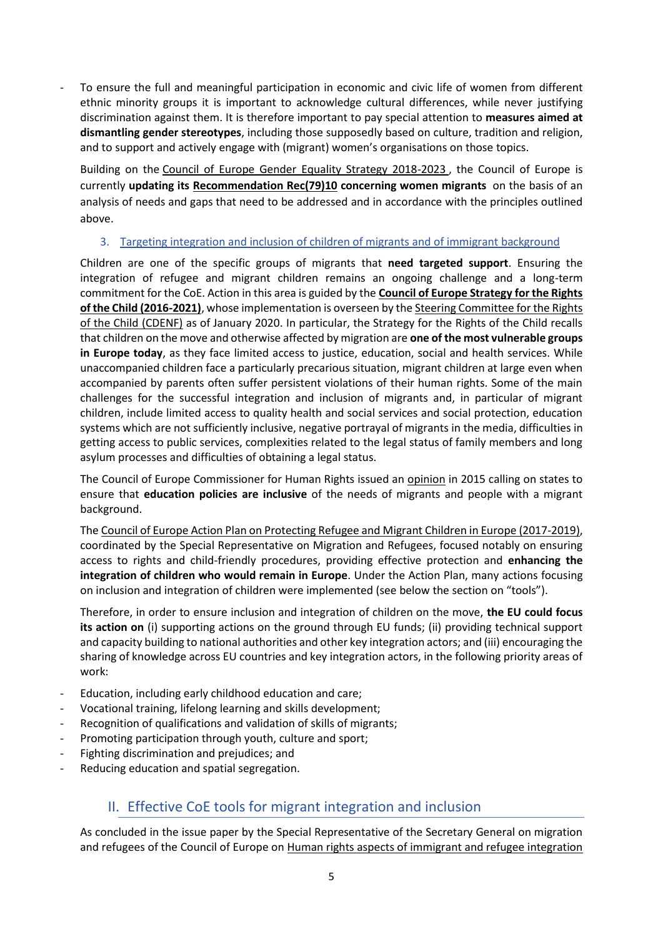To ensure the full and meaningful participation in economic and civic life of women from different ethnic minority groups it is important to acknowledge cultural differences, while never justifying discrimination against them. It is therefore important to pay special attention to **measures aimed at dismantling gender stereotypes**, including those supposedly based on culture, tradition and religion, and to support and actively engage with (migrant) women's organisations on those topics.

Building on the [Council of Europe Gender Equality Strategy 2018-2023](https://rm.coe.int/prems-093618-gbr-gender-equality-strategy-2023-web-a5/16808b47e1) , the Council of Europe is currently **updating its [Recommendation Rec\(79\)10](https://rm.coe.int/native/0900001680506f32) concerning women migrants** on the basis of an analysis of needs and gaps that need to be addressed and in accordance with the principles outlined above.

### 3. Targeting integration and inclusion of children of migrants and of immigrant background

Children are one of the specific groups of migrants that **need targeted support**. Ensuring the integration of refugee and migrant children remains an ongoing challenge and a long-term commitment for the CoE. Action in this area is guided by the **[Council of Europe Strategy for the Rights](https://rm.coe.int/CoERMPublicCommonSearchServices/DisplayDCTMContent?documentId=090000168066cff8)  [of the Child \(2016-2021\)](https://rm.coe.int/CoERMPublicCommonSearchServices/DisplayDCTMContent?documentId=090000168066cff8)**, whose implementation is overseen by th[e Steering Committee for the Rights](https://www.coe.int/en/web/children/cdenf)  [of the Child \(CDENF\)](https://www.coe.int/en/web/children/cdenf) as of January 2020. In particular, the Strategy for the Rights of the Child recalls that children on the move and otherwise affected by migration are **one of the most vulnerable groups in Europe today**, as they face limited access to justice, education, social and health services. While unaccompanied children face a particularly precarious situation, migrant children at large even when accompanied by parents often suffer persistent violations of their human rights. Some of the main challenges for the successful integration and inclusion of migrants and, in particular of migrant children, include limited access to quality health and social services and social protection, education systems which are not sufficiently inclusive, negative portrayal of migrants in the media, difficulties in getting access to public services, complexities related to the legal status of family members and long asylum processes and difficulties of obtaining a legal status.

The Council of Europe Commissioner for Human Rights issued an [opinion](https://www.coe.int/en/web/commissioner/blog/-/asset_publisher/xZ32OPEoxOkq/content/inclusive-education-vital-for-social-cohesion-in-diverse-societies?) in 2015 calling on states to ensure that **education policies are inclusive** of the needs of migrants and people with a migrant background.

The [Council of Europe Action Plan on Protecting Refugee and Migrant Children in Europe \(2017-2019\),](https://edoc.coe.int/en/module/ec_addformat/download?cle=1e9b64527e41c7360750af533155aebd&k=e057f3703f2c0303b13dd673e6ec84cf) coordinated by the Special Representative on Migration and Refugees, focused notably on ensuring access to rights and child-friendly procedures, providing effective protection and **enhancing the integration of children who would remain in Europe**. Under the Action Plan, many actions focusing on inclusion and integration of children were implemented (see below the section on "tools").

Therefore, in order to ensure inclusion and integration of children on the move, **the EU could focus its action on** (i) supporting actions on the ground through EU funds; (ii) providing technical support and capacity building to national authorities and other key integration actors; and (iii) encouraging the sharing of knowledge across EU countries and key integration actors, in the following priority areas of work:

- Education, including early childhood education and care;
- Vocational training, lifelong learning and skills development;
- Recognition of qualifications and validation of skills of migrants;
- Promoting participation through youth, culture and sport;
- Fighting discrimination and prejudices; and
- Reducing education and spatial segregation.

## II. Effective CoE tools for migrant integration and inclusion

As concluded in the issue paper by the Special Representative of the Secretary General on migration and refugees of the Council of Europe on Human rights aspects of immigrant and refugee integration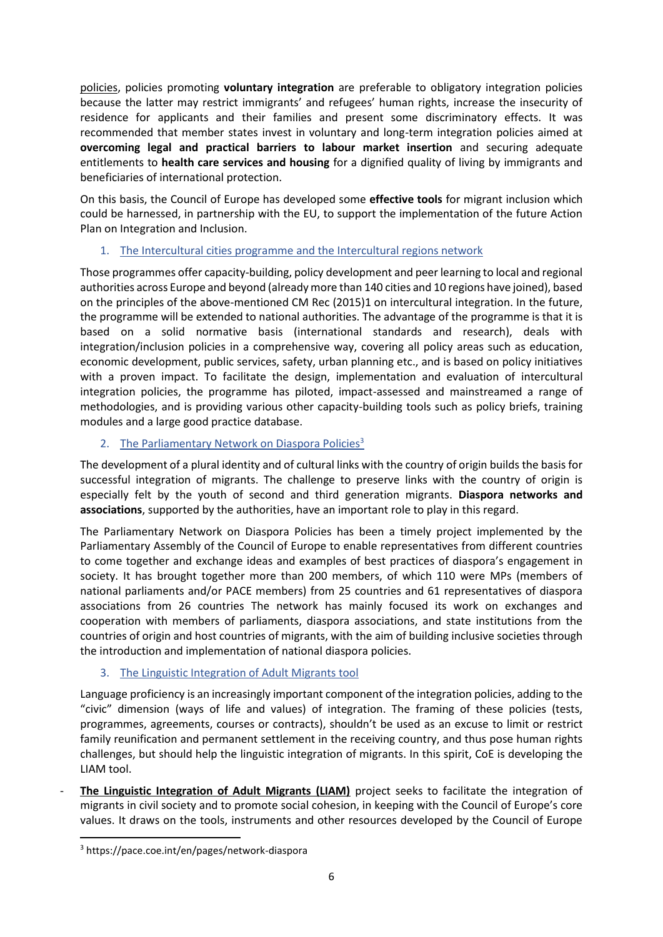[policies,](https://rm.coe.int/168093de2c) policies promoting **voluntary integration** are preferable to obligatory integration policies because the latter may restrict immigrants' and refugees' human rights, increase the insecurity of residence for applicants and their families and present some discriminatory effects. It was recommended that member states invest in voluntary and long-term integration policies aimed at **overcoming legal and practical barriers to labour market insertion** and securing adequate entitlements to **health care services and housing** for a dignified quality of living by immigrants and beneficiaries of international protection.

On this basis, the Council of Europe has developed some **effective tools** for migrant inclusion which could be harnessed, in partnership with the EU, to support the implementation of the future Action Plan on Integration and Inclusion.

### 1. The [Intercultural cities programme](http://www.coe.int/interculturalcities) and the Intercultural regions network

Those programmes offer capacity-building, policy development and peer learning to local and regional authorities across Europe and beyond (already more than 140 cities and 10 regions have joined), based on the principles of the above-mentioned CM Rec (2015)1 on intercultural integration. In the future, the programme will be extended to national authorities. The advantage of the programme is that it is based on a solid normative basis (international standards and research), deals with integration/inclusion policies in a comprehensive way, covering all policy areas such as education, economic development, public services, safety, urban planning etc., and is based on policy initiatives with a proven impact. To facilitate the design, implementation and evaluation of intercultural integration policies, the programme has piloted, impact-assessed and mainstreamed a range of methodologies, and is providing various other capacity-building tools such as policy briefs, training modules and a large good practice database.

## 2. The Parliamentary Network on Diaspora Policies<sup>3</sup>

The development of a plural identity and of cultural links with the country of origin builds the basis for successful integration of migrants. The challenge to preserve links with the country of origin is especially felt by the youth of second and third generation migrants. **Diaspora networks and associations**, supported by the authorities, have an important role to play in this regard.

The Parliamentary Network on Diaspora Policies has been a timely project implemented by the Parliamentary Assembly of the Council of Europe to enable representatives from different countries to come together and exchange ideas and examples of best practices of diaspora's engagement in society. It has brought together more than 200 members, of which 110 were MPs (members of national parliaments and/or PACE members) from 25 countries and 61 representatives of diaspora associations from 26 countries The network has mainly focused its work on exchanges and cooperation with members of parliaments, diaspora associations, and state institutions from the countries of origin and host countries of migrants, with the aim of building inclusive societies through the introduction and implementation of national diaspora policies.

## 3. The Linguistic Integration of Adult Migrants tool

Language proficiency is an increasingly important component of the integration policies, adding to the "civic" dimension (ways of life and values) of integration. The framing of these policies (tests, programmes, agreements, courses or contracts), shouldn't be used as an excuse to limit or restrict family reunification and permanent settlement in the receiving country, and thus pose human rights challenges, but should help the linguistic integration of migrants. In this spirit, CoE is developing the LIAM tool.

[The Linguistic Integration of Adult Migrants \(LIAM\)](https://www.coe.int/en/web/language-policy/adult-migrants) project seeks to facilitate the integration of migrants in civil society and to promote social cohesion, in keeping with the Council of Europe's core values. It draws on the tools, instruments and other resources developed by the Council of Europe

<sup>3</sup> https://pace.coe.int/en/pages/network-diaspora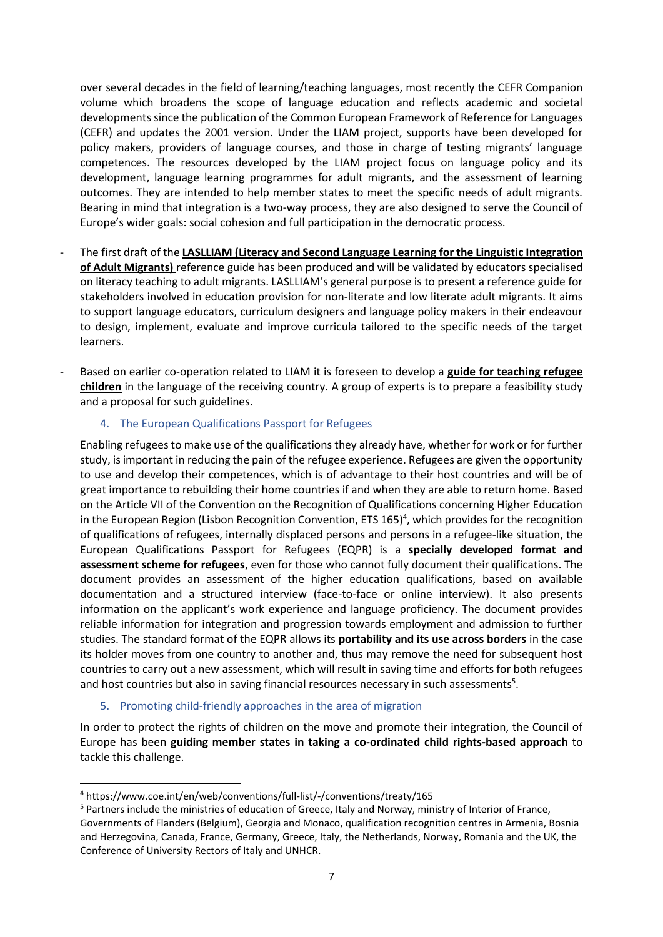over several decades in the field of learning/teaching languages, most recently the CEFR Companion volume which broadens the scope of language education and reflects academic and societal developments since the publication of the Common European Framework of Reference for Languages (CEFR) and updates the 2001 version. Under the LIAM project, supports have been developed for policy makers, providers of language courses, and those in charge of testing migrants' language competences. The resources developed by the LIAM project focus on language policy and its development, language learning programmes for adult migrants, and the assessment of learning outcomes. They are intended to help member states to meet the specific needs of adult migrants. Bearing in mind that integration is a two-way process, they are also designed to serve the Council of Europe's wider goals: social cohesion and full participation in the democratic process.

- The first draft of the **LASLLIAM (Literacy and Second Language Learning for the Linguistic Integration of Adult Migrants)** reference guide has been produced and will be validated by educators specialised on literacy teaching to adult migrants. LASLLIAM's general purpose is to present a reference guide for stakeholders involved in education provision for non-literate and low literate adult migrants. It aims to support language educators, curriculum designers and language policy makers in their endeavour to design, implement, evaluate and improve curricula tailored to the specific needs of the target learners.
- Based on earlier co-operation related to LIAM it is foreseen to develop a **guide for teaching refugee children** in the language of the receiving country. A group of experts is to prepare a feasibility study and a proposal for such guidelines.

### 4. [The European Qualifications Passport for Refugees](http://www.coe.int/eqpr)

Enabling refugees to make use of the qualifications they already have, whether for work or for further study, is important in reducing the pain of the refugee experience. Refugees are given the opportunity to use and develop their competences, which is of advantage to their host countries and will be of great importance to rebuilding their home countries if and when they are able to return home. Based on the Article VII of the Convention on the Recognition of Qualifications concerning Higher Education in the European Region (Lisbon Recognition Convention, ETS  $165$ <sup>4</sup>, which provides for the recognition of qualifications of refugees, internally displaced persons and persons in a refugee-like situation, the European Qualifications Passport for Refugees (EQPR) is a **specially developed format and assessment scheme for refugees**, even for those who cannot fully document their qualifications. The document provides an assessment of the higher education qualifications, based on available documentation and a structured interview (face-to-face or online interview). It also presents information on the applicant's work experience and language proficiency. The document provides reliable information for integration and progression towards employment and admission to further studies. The standard format of the EQPR allows its **portability and its use across borders** in the case its holder moves from one country to another and, thus may remove the need for subsequent host countries to carry out a new assessment, which will result in saving time and efforts for both refugees and host countries but also in saving financial resources necessary in such assessments<sup>5</sup>.

#### 5. Promoting child-friendly approaches in the area of migration

In order to protect the rights of children on the move and promote their integration, the Council of Europe has been **guiding member states in taking a co-ordinated child rights-based approach** to tackle this challenge.

<sup>4</sup> <https://www.coe.int/en/web/conventions/full-list/-/conventions/treaty/165>

<sup>&</sup>lt;sup>5</sup> Partners include the ministries of education of Greece, Italy and Norway, ministry of Interior of France, Governments of Flanders (Belgium), Georgia and Monaco, qualification recognition centres in Armenia, Bosnia and Herzegovina, Canada, France, Germany, Greece, Italy, the Netherlands, Norway, Romania and the UK, the Conference of University Rectors of Italy and UNHCR.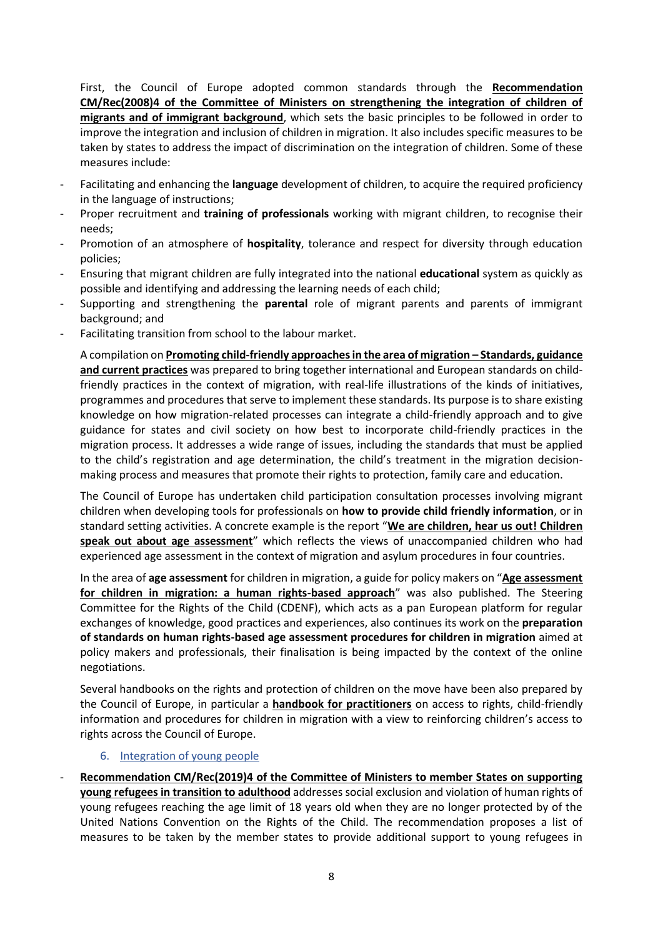First, the Council of Europe adopted common standards through the **[Recommendation](https://search.coe.int/cm/Pages/result_details.aspx?ObjectID=09000016805afd49)  [CM/Rec\(2008\)4 of the Committee of Ministers on strengthening the integration of children of](https://search.coe.int/cm/Pages/result_details.aspx?ObjectID=09000016805afd49)  [migrants and of immigrant background](https://search.coe.int/cm/Pages/result_details.aspx?ObjectID=09000016805afd49)**, which sets the basic principles to be followed in order to improve the integration and inclusion of children in migration. It also includes specific measures to be taken by states to address the impact of discrimination on the integration of children. Some of these measures include:

- Facilitating and enhancing the **language** development of children, to acquire the required proficiency in the language of instructions;
- Proper recruitment and **training of professionals** working with migrant children, to recognise their needs;
- Promotion of an atmosphere of **hospitality**, tolerance and respect for diversity through education policies;
- Ensuring that migrant children are fully integrated into the national **educational** system as quickly as possible and identifying and addressing the learning needs of each child;
- Supporting and strengthening the **parental** role of migrant parents and parents of immigrant background; and
- Facilitating transition from school to the labour market.

A compilation on **[Promoting child-friendly approaches in the area of migration](https://edoc.coe.int/en/refugees/8047-promoting-child-friendly-approaches-in-the-area-of-migration-standards-guidance-and-current-practices.html) – Standards, guidance [and current practices](https://edoc.coe.int/en/refugees/8047-promoting-child-friendly-approaches-in-the-area-of-migration-standards-guidance-and-current-practices.html)** was prepared to bring together international and European standards on childfriendly practices in the context of migration, with real-life illustrations of the kinds of initiatives, programmes and procedures that serve to implement these standards. Its purpose is to share existing knowledge on how migration-related processes can integrate a child-friendly approach and to give guidance for states and civil society on how best to incorporate child-friendly practices in the migration process. It addresses a wide range of issues, including the standards that must be applied to the child's registration and age determination, the child's treatment in the migration decisionmaking process and measures that promote their rights to protection, family care and education.

The Council of Europe has undertaken child participation consultation processes involving migrant children when developing tools for professionals on **how to provide child friendly information**, or in standard setting activities. A concrete example is the report "**[We are children, hear us out! Children](https://rm.coe.int/we-are-children-hear-us-out-children-speak-out-about-age-assessment-re/16809486f3)**  [speak out about age assessment](https://rm.coe.int/we-are-children-hear-us-out-children-speak-out-about-age-assessment-re/16809486f3)<sup>"</sup> which reflects the views of unaccompanied children who had experienced age assessment in the context of migration and asylum procedures in four countries.

In the area of **age assessment** for children in migration, a guide for policy makers on "**[Age assessment](https://rm.coe.int/ageassessmentchildrenmigration/168099529f)  [for children in migration: a human rights-based approach](https://rm.coe.int/ageassessmentchildrenmigration/168099529f)**" was also published. The Steering Committee for the Rights of the Child (CDENF), which acts as a pan European platform for regular exchanges of knowledge, good practices and experiences, also continues its work on the **preparation of standards on human rights-based age assessment procedures for children in migration** aimed at policy makers and professionals, their finalisation is being impacted by the context of the online negotiations.

Several handbooks on the rights and protection of children on the move have been also prepared by the Council of Europe, in particular a **[handbook for practitioners](https://www.coe.int/en/web/children/projects)** on access to rights, child-friendly information and procedures for children in migration with a view to reinforcing children's access to rights across the Council of Europe.

#### 6. Integration of young people

- **[Recommendation CM/Rec\(2019\)4 of the Committee of Ministers to member States on supporting](https://rm.coe.int/recommendation-cm-2019-4-supporting-young-refugees-transition-adulthoo/168098e814)  young refugees [in transition to adulthood](https://rm.coe.int/recommendation-cm-2019-4-supporting-young-refugees-transition-adulthoo/168098e814)** addresses social exclusion and violation of human rights of young refugees reaching the age limit of 18 years old when they are no longer protected by of the United Nations Convention on the Rights of the Child. The recommendation proposes a list of measures to be taken by the member states to provide additional support to young refugees in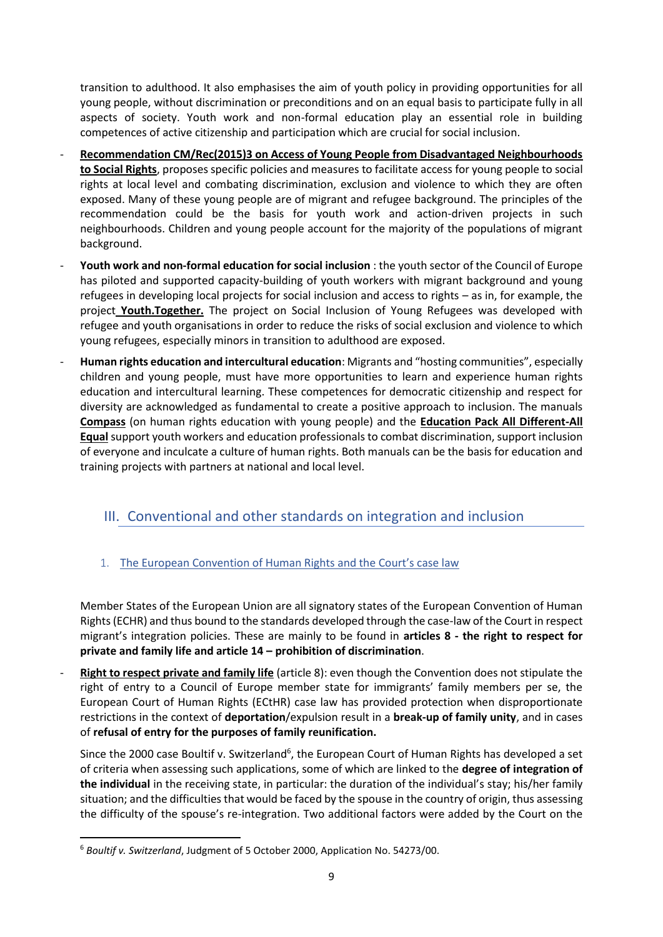transition to adulthood. It also emphasises the aim of youth policy in providing opportunities for all young people, without discrimination or preconditions and on an equal basis to participate fully in all aspects of society. Youth work and non-formal education play an essential role in building competences of active citizenship and participation which are crucial for social inclusion.

- **[Recommendation CM/Rec\(2015\)3 on Access of Young People from Disadvantaged Neighbourhoods](https://rm.coe.int/CoERMPublicCommonSearchServices/DisplayDCTMContent?documentId=090000168066671e)  [to Social Rights](https://rm.coe.int/CoERMPublicCommonSearchServices/DisplayDCTMContent?documentId=090000168066671e)**, proposes specific policies and measures to facilitate access for young people to social rights at local level and combating discrimination, exclusion and violence to which they are often exposed. Many of these young people are of migrant and refugee background. The principles of the recommendation could be the basis for youth work and action-driven projects in such neighbourhoods. Children and young people account for the majority of the populations of migrant background.
- Youth work and non-formal education for social inclusion : the youth sector of the Council of Europe has piloted and supported capacity-building of youth workers with migrant background and young refugees in developing local projects for social inclusion and access to rights – as in, for example, the project **[Youth.Together.](https://www.coe.int/fr/web/youth/-/evalutaion-seminar-youth-together-project-on-social-inclusion-of-refugees-and-through-youth-work)** The project on Social Inclusion of Young Refugees was developed with refugee and youth organisations in order to reduce the risks of social exclusion and violence to which young refugees, especially minors in transition to adulthood are exposed.
- **Human rights education and intercultural education**: Migrants and "hosting communities", especially children and young people, must have more opportunities to learn and experience human rights education and intercultural learning. These competences for democratic citizenship and respect for diversity are acknowledged as fundamental to create a positive approach to inclusion. The manuals **[Compass](https://www.coe.int/en/web/compass)** (on human rights education with young people) and the **[Education Pack All Different-All](https://www.coe.int/en/web/campaign-free-to-speak-safe-to-learn/-/all-different-all-equal-2016-education-pack)  [Equal](https://www.coe.int/en/web/campaign-free-to-speak-safe-to-learn/-/all-different-all-equal-2016-education-pack)** support youth workers and education professionals to combat discrimination, support inclusion of everyone and inculcate a culture of human rights. Both manuals can be the basis for education and training projects with partners at national and local level.

## III. Conventional and other standards on integration and inclusion

## 1. The European Convention of Human Rights and the Court's case law

Member States of the European Union are all signatory states of the European Convention of Human Rights (ECHR) and thus bound to the standards developed through the case-law of the Court in respect migrant's integration policies. These are mainly to be found in **articles 8 - the right to respect for private and family life and article 14 – prohibition of discrimination**.

**Right to respect private and family life** (article 8): even though the Convention does not stipulate the right of entry to a Council of Europe member state for immigrants' family members per se, the European Court of Human Rights (ECtHR) case law has provided protection when disproportionate restrictions in the context of **deportation**/expulsion result in a **break-up of family unity**, and in cases of **refusal of entry for the purposes of family reunification.**

Since the 2000 case Boultif v. Switzerland<sup>6</sup>, the European Court of Human Rights has developed a set of criteria when assessing such applications, some of which are linked to the **degree of integration of the individual** in the receiving state, in particular: the duration of the individual's stay; his/her family situation; and the difficulties that would be faced by the spouse in the country of origin, thus assessing the difficulty of the spouse's re-integration. Two additional factors were added by the Court on the

<sup>6</sup> *Boultif v. Switzerland*, Judgment of 5 October 2000, Application No. 54273/00.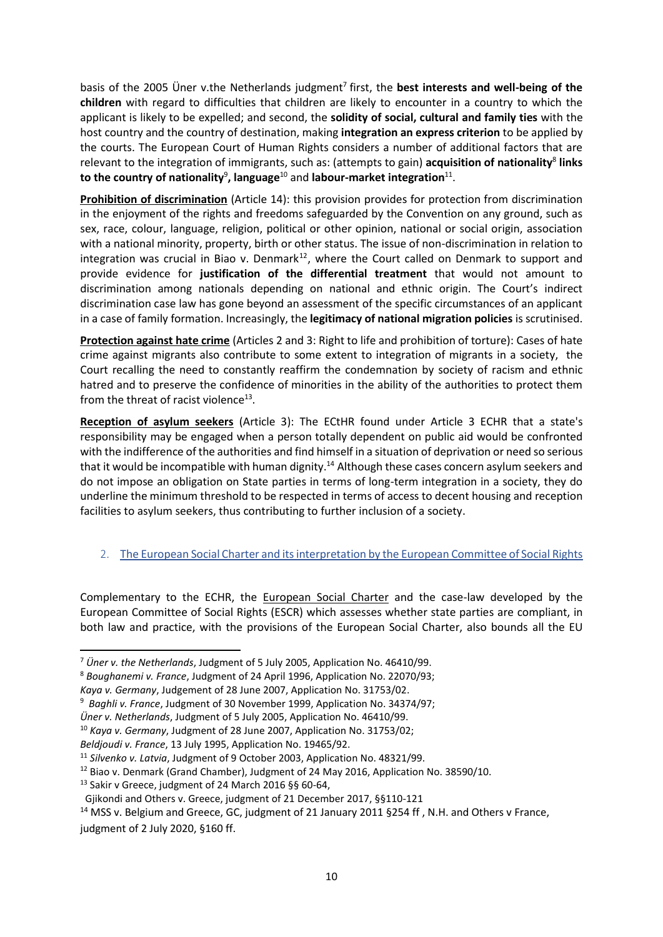basis of the 2005 Uner v.the Netherlands judgment<sup>7</sup> first, the best interests and well-being of the **children** with regard to difficulties that children are likely to encounter in a country to which the applicant is likely to be expelled; and second, the **solidity of social, cultural and family ties** with the host country and the country of destination, making **integration an express criterion** to be applied by the courts. The European Court of Human Rights considers a number of additional factors that are relevant to the integration of immigrants, such as: (attempts to gain) **acquisition of nationality**<sup>8</sup> links to the country of nationality<sup>9</sup>, language<sup>10</sup> and labour-market integration<sup>11</sup>.

**Prohibition of discrimination** (Article 14): this provision provides for protection from discrimination in the enjoyment of the rights and freedoms safeguarded by the Convention on any ground, such as sex, race, colour, language, religion, political or other opinion, national or social origin, association with a national minority, property, birth or other status. The issue of non-discrimination in relation to integration was crucial in Biao v. Denmark<sup>12</sup>, where the Court called on Denmark to support and provide evidence for **justification of the differential treatment** that would not amount to discrimination among nationals depending on national and ethnic origin. The Court's indirect discrimination case law has gone beyond an assessment of the specific circumstances of an applicant in a case of family formation. Increasingly, the **legitimacy of national migration policies** is scrutinised.

**Protection against hate crime** (Articles 2 and 3: Right to life and prohibition of torture): Cases of hate crime against migrants also contribute to some extent to integration of migrants in a society, the Court recalling the need to constantly reaffirm the condemnation by society of racism and ethnic hatred and to preserve the confidence of minorities in the ability of the authorities to protect them from the threat of racist violence $^{13}$ .

**Reception of asylum seekers** (Article 3): The ECtHR found under Article 3 ECHR that a state's responsibility may be engaged when a person totally dependent on public aid would be confronted with the indifference of the authorities and find himself in a situation of deprivation or need so serious that it would be incompatible with human dignity.<sup>14</sup> Although these cases concern asylum seekers and do not impose an obligation on State parties in terms of long-term integration in a society, they do underline the minimum threshold to be respected in terms of access to decent housing and reception facilities to asylum seekers, thus contributing to further inclusion of a society.

## 2. The European Social Charter and its interpretation by the European Committee of Social Rights

Complementary to the ECHR, the [European Social Charter](http://www.coe.int/en/web/conventions/full-list/-/conventions/treaty/035) and the case-law developed by the European Committee of Social Rights (ESCR) which assesses whether state parties are compliant, in both law and practice, with the provisions of the European Social Charter, also bounds all the EU

<sup>7</sup> *Üner v. the Netherlands*, Judgment of 5 July 2005, Application No. 46410/99.

<sup>8</sup> *Boughanemi v. France*, Judgment of 24 April 1996, Application No. 22070/93;

*Kaya v. Germany*, Judgement of 28 June 2007, Application No. 31753/02.

<sup>9</sup> *Baghli v. France*, Judgment of 30 November 1999, Application No. 34374/97;

*Üner v. Netherlands*, Judgment of 5 July 2005, Application No. 46410/99.

<sup>10</sup> *Kaya v. Germany*, Judgment of 28 June 2007, Application No. 31753/02;

*Beldjoudi v. France*, 13 July 1995, Application No. 19465/92.

<sup>11</sup> *Silvenko v. Latvia*, Judgment of 9 October 2003, Application No. 48321/99.

<sup>&</sup>lt;sup>12</sup> Biao v. Denmark (Grand Chamber), Judgment of 24 May 2016, Application No. 38590/10.

<sup>13</sup> Sakir v Greece, judgment of 24 March 2016 §§ 60-64,

Gjikondi and Others v. Greece, judgment of 21 December 2017, §§110-121

<sup>&</sup>lt;sup>14</sup> MSS v. Belgium and Greece, GC, judgment of 21 January 2011 §254 ff, N.H. and Others v France, judgment of 2 July 2020, §160 ff.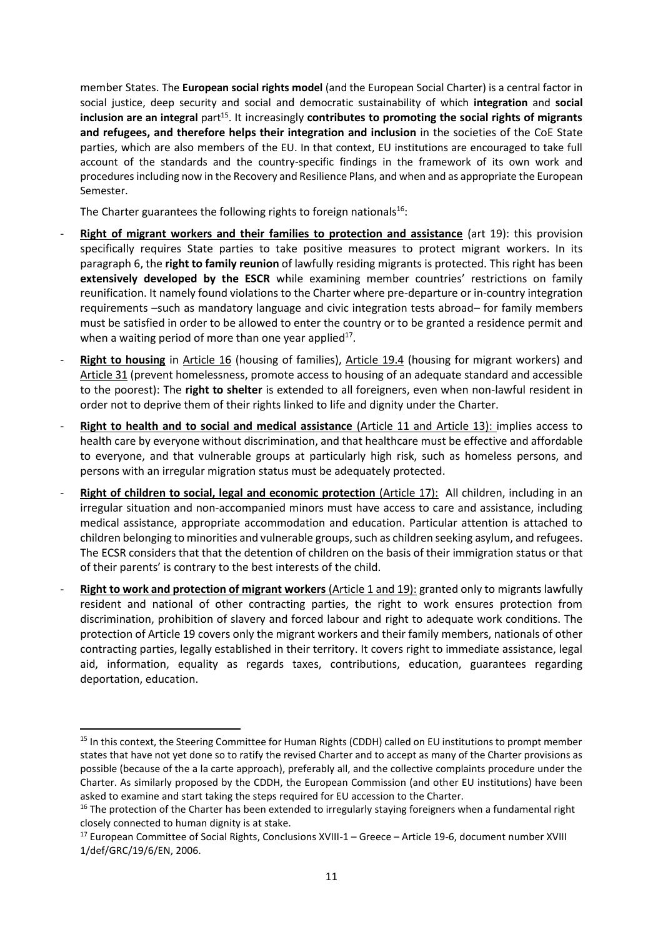member States. The **European social rights model** (and the European Social Charter) is a central factor in social justice, deep security and social and democratic sustainability of which **integration** and **social** inclusion are an integral part<sup>15</sup>. It increasingly **contributes to promoting the social rights of migrants and refugees, and therefore helps their integration and inclusion** in the societies of the CoE State parties, which are also members of the EU. In that context, EU institutions are encouraged to take full account of the standards and the country-specific findings in the framework of its own work and procedures including now in the Recovery and Resilience Plans, and when and as appropriate the European Semester.

The Charter guarantees the following rights to foreign nationals $16$ :

- **Right of migrant workers and their families to protection and assistance** (art 19): this provision specifically requires State parties to take positive measures to protect migrant workers. In its paragraph 6, the **right to family reunion** of lawfully residing migrants is protected. This right has been **extensively developed by the ESCR** while examining member countries' restrictions on family reunification. It namely found violations to the Charter where pre-departure or in-country integration requirements –such as mandatory language and civic integration tests abroad– for family members must be satisfied in order to be allowed to enter the country or to be granted a residence permit and when a waiting period of more than one year applied $17$ .
- Right to housing in Article 16 (housing of families), Article 19.4 (housing for migrant workers) and Article 31 (prevent homelessness, promote access to housing of an adequate standard and accessible to the poorest): The **right to shelter** is extended to all foreigners, even when non-lawful resident in order not to deprive them of their rights linked to life and dignity under the Charter.
- **Right to health and to social and medical assistance** (Article 11 and Article 13): implies access to health care by everyone without discrimination, and that healthcare must be effective and affordable to everyone, and that vulnerable groups at particularly high risk, such as homeless persons, and persons with an irregular migration status must be adequately protected.
- Right of children to social, legal and economic protection (Article 17): All children, including in an irregular situation and non-accompanied minors must have access to care and assistance, including medical assistance, appropriate accommodation and education. Particular attention is attached to children belonging to minorities and vulnerable groups, such as children seeking asylum, and refugees. The ECSR considers that that the detention of children on the basis of their immigration status or that of their parents' is contrary to the best interests of the child.
- Right to work and protection of migrant workers (Article 1 and 19): granted only to migrants lawfully resident and national of other contracting parties, the right to work ensures protection from discrimination, prohibition of slavery and forced labour and right to adequate work conditions. The protection of Article 19 covers only the migrant workers and their family members, nationals of other contracting parties, legally established in their territory. It covers right to immediate assistance, legal aid, information, equality as regards taxes, contributions, education, guarantees regarding deportation, education.

<sup>&</sup>lt;sup>15</sup> In this context, the Steering Committee for Human Rights (CDDH) called on EU institutions to prompt member states that have not yet done so to ratify the revised Charter and to accept as many of the Charter provisions as possible (because of the a la carte approach), preferably all, and the collective complaints procedure under the Charter. As similarly proposed by the CDDH, the European Commission (and other EU institutions) have been asked to examine and start taking the steps required for EU accession to the Charter.

 $16$  The protection of the Charter has been extended to irregularly staying foreigners when a fundamental right closely connected to human dignity is at stake.

<sup>&</sup>lt;sup>17</sup> European Committee of Social Rights, Conclusions XVIII-1 – Greece – Article 19-6, document number XVIII 1/def/GRC/19/6/EN, 2006.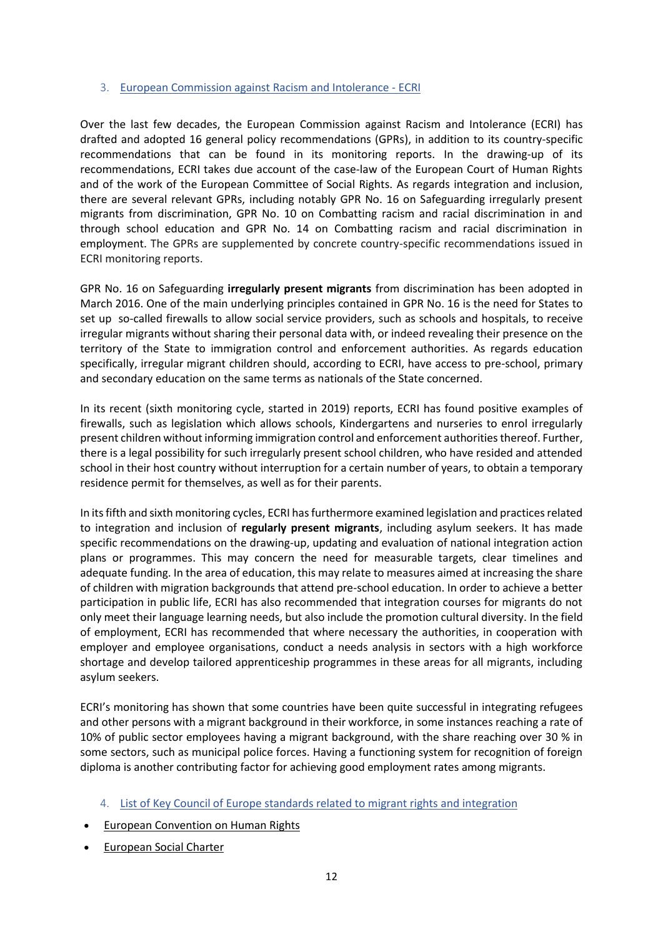#### 3. European Commission against Racism and Intolerance - ECRI

Over the last few decades, the European Commission against Racism and Intolerance (ECRI) has drafted and adopted 16 general policy recommendations (GPRs), in addition to its country-specific recommendations that can be found in its monitoring reports. In the drawing-up of its recommendations, ECRI takes due account of the case-law of the European Court of Human Rights and of the work of the European Committee of Social Rights. As regards integration and inclusion, there are several relevant GPRs, including notably GPR No. 16 on Safeguarding irregularly present migrants from discrimination, GPR No. 10 on Combatting racism and racial discrimination in and through school education and GPR No. 14 on Combatting racism and racial discrimination in employment. The GPRs are supplemented by concrete country-specific recommendations issued in ECRI monitoring reports.

GPR No. 16 on Safeguarding **[irregularly present migrants](https://www.coe.int/web/european-commission-against-racism-and-intolerance/recommendation-no.16)** from discrimination has been adopted in March 2016. One of the main underlying principles contained in GPR No. 16 is the need for States to set up so-called firewalls to allow social service providers, such as schools and hospitals, to receive irregular migrants without sharing their personal data with, or indeed revealing their presence on the territory of the State to immigration control and enforcement authorities. As regards education specifically, irregular migrant children should, according to ECRI, have access to pre-school, primary and secondary education on the same terms as nationals of the State concerned.

In its recent (sixth monitoring cycle, started in 2019) reports, ECRI has found positive examples of firewalls, such as legislation which allows schools, Kindergartens and nurseries to enrol irregularly present children without informing immigration control and enforcement authorities thereof. Further, there is a legal possibility for such irregularly present school children, who have resided and attended school in their host country without interruption for a certain number of years, to obtain a temporary residence permit for themselves, as well as for their parents.

In its fifth and sixth monitoring cycles, ECRI has furthermore examined legislation and practices related to integration and inclusion of **regularly present migrants**, including asylum seekers. It has made specific recommendations on the drawing-up, updating and evaluation of national integration action plans or programmes. This may concern the need for measurable targets, clear timelines and adequate funding. In the area of education, this may relate to measures aimed at increasing the share of children with migration backgrounds that attend pre-school education. In order to achieve a better participation in public life, ECRI has also recommended that integration courses for migrants do not only meet their language learning needs, but also include the promotion cultural diversity. In the field of employment, ECRI has recommended that where necessary the authorities, in cooperation with employer and employee organisations, conduct a needs analysis in sectors with a high workforce shortage and develop tailored apprenticeship programmes in these areas for all migrants, including asylum seekers.

ECRI's monitoring has shown that some countries have been quite successful in integrating refugees and other persons with a migrant background in their workforce, in some instances reaching a rate of 10% of public sector employees having a migrant background, with the share reaching over 30 % in some sectors, such as municipal police forces. Having a functioning system for recognition of foreign diploma is another contributing factor for achieving good employment rates among migrants.

- 4. List of Key Council of Europe standards related to migrant rights and integration
- [European Convention on Human Rights](https://www.echr.coe.int/Documents/Convention_ENG.pdf)
- [European Social Charter](https://www.coe.int/en/web/european-social-charter)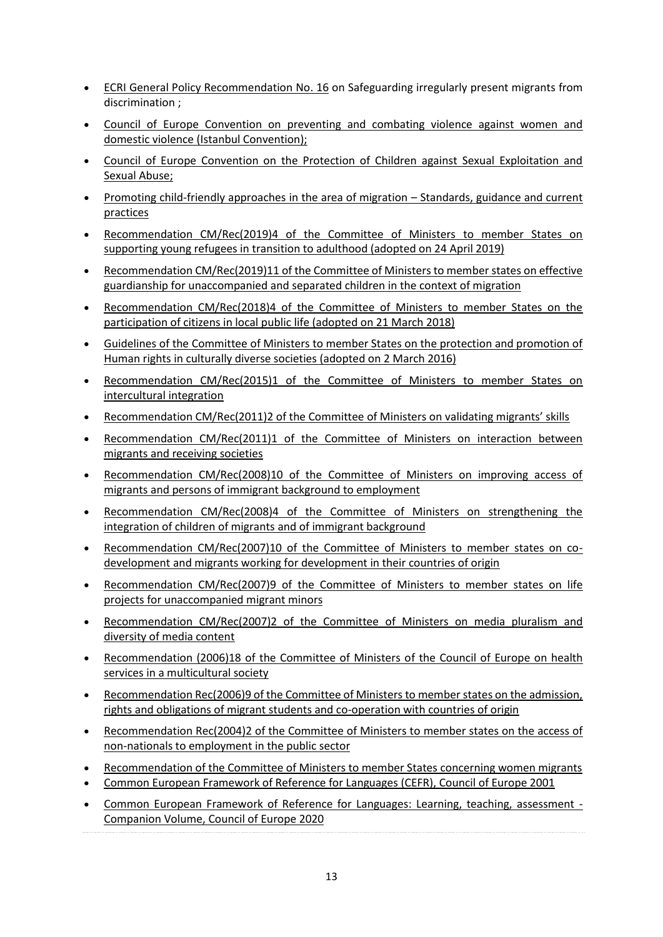- [ECRI General Policy Recommendation No.](https://rm.coe.int/ecri-general-policy-recommendation-no-16-on-safeguarding-irregularly-p/16808b5b0b) 16 on [Safeguarding irregularly present migrants from](https://www.coe.int/web/european-commission-against-racism-and-intolerance/recommendation-no.16)  [discrimination](https://www.coe.int/web/european-commission-against-racism-and-intolerance/recommendation-no.16) ;
- [Council of Europe Convention on preventing and combating violence against women and](https://rm.coe.int/168008482e)  [domestic violence \(Istanbul Convention\);](https://rm.coe.int/168008482e)
- [Council of Europe Convention on the Protection of Children against Sexual Exploitation and](https://ec.europa.eu/anti-trafficking/legislation-and-case-law-international-legislation-council-europe/council-europe-convention_en)  [Sexual Abuse;](https://ec.europa.eu/anti-trafficking/legislation-and-case-law-international-legislation-council-europe/council-europe-convention_en)
- Promoting child-friendly approaches in the area of migration Standards, guidance and current [practices](https://edoc.coe.int/en/refugees/8047-promoting-child-friendly-approaches-in-the-area-of-migration-standards-guidance-and-current-practices.html)
- Recommendation CM/Rec(2019)4 of the Committee of Ministers to member States on supporting young refugees in transition to adulthood (adopted on 24 April 2019)
- [Recommendation CM/Rec\(2019\)11 of the Committee of Ministers to member states on effective](https://rm.coe.int/cm-rec-2019-11-guardianship-en/16809ccfe2)  [guardianship for unaccompanied and separated children in the context of migration](https://rm.coe.int/cm-rec-2019-11-guardianship-en/16809ccfe2)
- [Recommendation CM/Rec\(2018\)4 of the Committee of Ministers to member States on the](https://search.coe.int/cm/pages/result_details.aspx?objectid=09000016807954c3)  [participation of citizens in local public life](https://search.coe.int/cm/pages/result_details.aspx?objectid=09000016807954c3) (adopted on 21 March 2018)
- [Guidelines of the Committee of Ministers to member States on the protection and promotion of](https://search.coe.int/cm/Pages/result_details.aspx?ObjectID=09000016805c19bd)  [Human rights in culturally diverse societies](https://search.coe.int/cm/Pages/result_details.aspx?ObjectID=09000016805c19bd) (adopted on 2 March 2016)
- [Recommendation CM/Rec\(2015\)1 of the Committee of Ministers to member States on](https://wcd.coe.int/ViewDoc.jsp?id=2282331&Site=COE&BackColorInternet=C3C3C3&BackColorIntranet=EDB021&BackColorLogged=F5D383)  [intercultural integration](https://wcd.coe.int/ViewDoc.jsp?id=2282331&Site=COE&BackColorInternet=C3C3C3&BackColorIntranet=EDB021&BackColorLogged=F5D383)
- [Recommendation CM/Rec\(2011\)2 of the Committee of Ministers on validating migrants' skills](https://wcd.coe.int/ViewDoc.jsp?id=1734833&Site=COE&BackColorInternet=C3C3C3&BackColorIntranet=EDB021&BackColorLogged=F5D383)
- [Recommendation CM/Rec\(2011\)1 of the Committee of Ministers on interaction between](https://wcd.coe.int/ViewDoc.jsp?id=1734809&Site=COE&BackColorInternet=C3C3C3&BackColorIntranet=EDB021&BackColorLogged=F5D383)  [migrants and receiving societies](https://wcd.coe.int/ViewDoc.jsp?id=1734809&Site=COE&BackColorInternet=C3C3C3&BackColorIntranet=EDB021&BackColorLogged=F5D383)
- [Recommendation CM/Rec\(2008\)10 of the Committee of Ministers on improving access of](https://wcd.coe.int/ViewDoc.jsp?id=1323453&Site=COE&BackColorInternet=C3C3C3&BackColorIntranet=EDB021&BackColorLogged=F5D383)  [migrants and persons of immigrant background to employment](https://wcd.coe.int/ViewDoc.jsp?id=1323453&Site=COE&BackColorInternet=C3C3C3&BackColorIntranet=EDB021&BackColorLogged=F5D383)
- Recommendation CM/Rec(2008)4 of the Committee of Ministers on strengthening the [integration of children of migrants](https://wcd.coe.int/ViewDoc.jsp?id=1253467&Site=COE&BackColorInternet=C3C3C3&BackColorIntranet=EDB021&BackColorLogged=F5D383) and of immigrant background
- [Recommendation CM/Rec\(2007\)10 of the Committee of Ministers to member states on co](https://wcd.coe.int/ViewDoc.jsp?id=1164833&Site=COE&BackColorInternet=C3C3C3&BackColorIntranet=EDB021&BackColorLogged=F5D383)[development and migrants working for development in their countries of origin](https://wcd.coe.int/ViewDoc.jsp?id=1164833&Site=COE&BackColorInternet=C3C3C3&BackColorIntranet=EDB021&BackColorLogged=F5D383)
- [Recommendation CM/Rec\(2007\)9 of the Committee of Ministers to member states on life](https://www.coe.int/t/dg3/migration/archives/Source/Recommendations/Recommendation%20CM%20Rec_2007_9_en.pdf)  [projects for unaccompanied migrant minors](https://www.coe.int/t/dg3/migration/archives/Source/Recommendations/Recommendation%20CM%20Rec_2007_9_en.pdf)
- [Recommendation CM/Rec\(2007\)2 of the Committee of Ministers on media pluralism and](https://wcd.coe.int/ViewDoc.jsp?id=1089699&Site=COE&BackColorInternet=C3C3C3&BackColorIntranet=EDB021&BackColorLogged=F5D383)  [diversity of media content](https://wcd.coe.int/ViewDoc.jsp?id=1089699&Site=COE&BackColorInternet=C3C3C3&BackColorIntranet=EDB021&BackColorLogged=F5D383)
- [Recommendation \(2006\)18 of the Committee of Ministers of the Council of Europe on health](https://wcd.coe.int/ViewDoc.jsp?id=1062769&Site=COE&BackColorInternet=C3C3C3&BackColorIntranet=EDB021&BackColorLogged=F5D383)  [services in a multicultural society](https://wcd.coe.int/ViewDoc.jsp?id=1062769&Site=COE&BackColorInternet=C3C3C3&BackColorIntranet=EDB021&BackColorLogged=F5D383)
- [Recommendation Rec\(2006\)9 of the Committee of Ministers to member states on the admission,](https://wcd.coe.int/ViewDoc.jsp?id=1019671&Site=COE&BackColorInternet=C3C3C3&BackColorIntranet=EDB021&BackColorLogged=F5D383)  [rights and obligations of migrant students and co-operation with countries of origin](https://wcd.coe.int/ViewDoc.jsp?id=1019671&Site=COE&BackColorInternet=C3C3C3&BackColorIntranet=EDB021&BackColorLogged=F5D383)
- [Recommendation Rec\(2004\)2 of the Committee of Ministers to member states on the access of](https://wcd.coe.int/ViewDoc.jsp?id=132851&Site=COE&BackColorInternet=C3C3C3&BackColorIntranet=EDB021&BackColorLogged=F5D383)  [non-nationals to employment in the public sector](https://wcd.coe.int/ViewDoc.jsp?id=132851&Site=COE&BackColorInternet=C3C3C3&BackColorIntranet=EDB021&BackColorLogged=F5D383)
- [Recommendation of the Committee of Ministers to member States concerning women migrants](https://rm.coe.int/native/0900001680506f32)
- [Common European Framework of Reference for Languages \(CEFR\),](https://www.coe.int/en/web/common-european-framework-reference-languages) Council of Europe 2001
- [Common European Framework of Reference for Languages: Learning, teaching, assessment -](https://www.coe.int/en/web/education/-/common-european-framework-of-reference-for-languages-learning-teaching-assessment-companion-volume) [Companion Volume,](https://www.coe.int/en/web/education/-/common-european-framework-of-reference-for-languages-learning-teaching-assessment-companion-volume) Council of Europe 2020